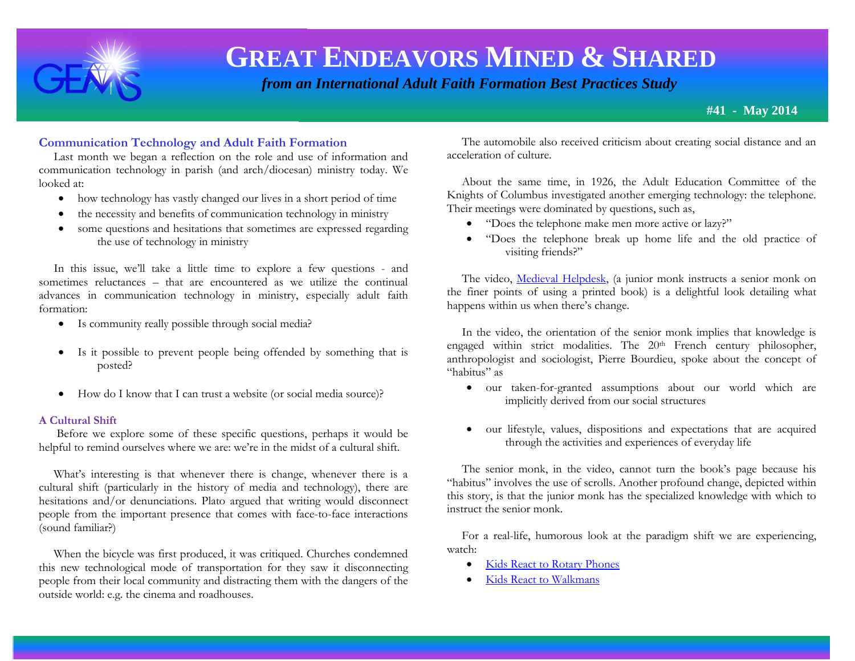

 *from an International Adult Faith Formation Best Practices Study*

### **Communication Technology and Adult Faith Formation**

 Last month we began a reflection on the role and use of information and communication technology in parish (and arch/diocesan) ministry today. We looked at:

- how technology has vastly changed our lives in a short period of time
- the necessity and benefits of communication technology in ministry
- some questions and hesitations that sometimes are expressed regarding the use of technology in ministry

 In this issue, we'll take a little time to explore a few questions - and sometimes reluctances – that are encountered as we utilize the continual advances in communication technology in ministry, especially adult faith formation:

- Is community really possible through social media?
- Is it possible to prevent people being offended by something that is posted?
- How do I know that I can trust a website (or social media source)?

#### **A Cultural Shift**

 Before we explore some of these specific questions, perhaps it would be helpful to remind ourselves where we are: we're in the midst of a cultural shift.

 What's interesting is that whenever there is change, whenever there is a cultural shift (particularly in the history of media and technology), there are hesitations and/or denunciations. Plato argued that writing would disconnect people from the important presence that comes with face-to-face interactions (sound familiar?)

 When the bicycle was first produced, it was critiqued. Churches condemned this new technological mode of transportation for they saw it disconnecting people from their local community and distracting them with the dangers of the outside world: e.g. the cinema and roadhouses.

 The automobile also received criticism about creating social distance and an acceleration of culture.

 About the same time, in 1926, the Adult Education Committee of the Knights of Columbus investigated another emerging technology: the telephone. Their meetings were dominated by questions, such as,

- "Does the telephone make men more active or lazy?"
- "Does the telephone break up home life and the old practice of visiting friends?"

 The video, [Medieval Helpdesk,](http://www.youtube.com/watch?feature=endscreen&v=yUQRbqc2qtY&NR=1) (a junior monk instructs a senior monk on the finer points of using a printed book) is a delightful look detailing what happens within us when there's change.

 In the video, the orientation of the senior monk implies that knowledge is engaged within strict modalities. The 20<sup>th</sup> French century philosopher, anthropologist and sociologist, Pierre Bourdieu, spoke about the concept of "habitus" as

- our taken-for-granted assumptions about our world which are implicitly derived from our social structures
- our lifestyle, values, dispositions and expectations that are acquired through the activities and experiences of everyday life

 The senior monk, in the video, cannot turn the book's page because his "habitus" involves the use of scrolls. Another profound change, depicted within this story, is that the junior monk has the specialized knowledge with which to instruct the senior monk.

 For a real-life, humorous look at the paradigm shift we are experiencing, watch:

- [Kids React to Rotary Phones](http://www.youtube.com/watch?v=XkuirEweZvM)
- [Kids React to Walkmans](https://www.youtube.com/watch?v=Uk_vV-JRZ6E)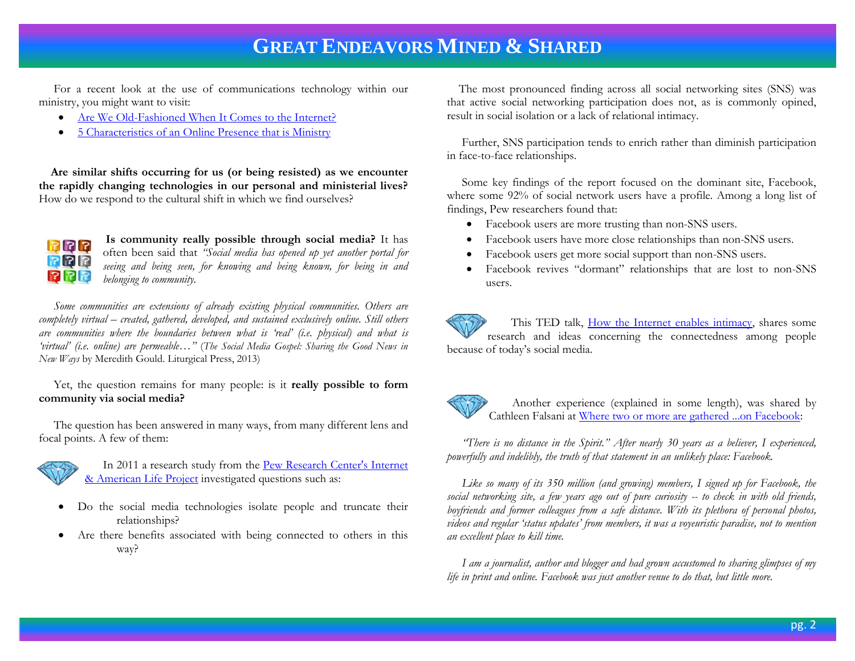For a recent look at the use of communications technology within our ministry, you might want to visit:

- [Are We Old-Fashioned When It Comes to the Internet?](http://www.catholicwebsolutions.com/2014/04/08/innovators-and-evangelizers-take-to-the-web/)
- [5 Characteristics of an Online Presence that is Ministry](http://www.catholicwebsolutions.com/2014/04/15/5-characteristics-of-an-online-presence-that-is-ministry/)

 **Are similar shifts occurring for us (or being resisted) as we encounter the rapidly changing technologies in our personal and ministerial lives?** How do we respond to the cultural shift in which we find ourselves?



**Is community really possible through social media?** It has often been said that *"Social media has opened up yet another portal for seeing and being seen, for knowing and being known, for being in and belonging to community.*

 *Some communities are extensions of already existing physical communities. Others are completely virtual – created, gathered, developed, and sustained exclusively online. Still others are communities where the boundaries between what is 'real' (i.e. physical) and what is 'virtual' (i.e. online) are permeable…"* (*The Social Media Gospel: Sharing the Good News in New Ways* by Meredith Gould. Liturgical Press, 2013)

 Yet, the question remains for many people: is it **really possible to form community via social media?**

 The question has been answered in many ways, from many different lens and focal points. A few of them:



 In 2011 a research study from the [Pew Research Center's Internet](http://www.pewinternet.org/Reports/2011/Technology-and-social-networks.aspx)  [& American Life Project](http://www.pewinternet.org/Reports/2011/Technology-and-social-networks.aspx) investigated questions such as:

- Do the social media technologies isolate people and truncate their relationships?
- Are there benefits associated with being connected to others in this way?

 The most pronounced finding across all social networking sites (SNS) was that active social networking participation does not, as is commonly opined, result in social isolation or a lack of relational intimacy.

 Further, SNS participation tends to enrich rather than diminish participation in face-to-face relationships.

 Some key findings of the report focused on the dominant site, Facebook, where some 92% of social network users have a profile. Among a long list of findings, Pew researchers found that:

- Facebook users are more trusting than non-SNS users.
- Facebook users have more close relationships than non-SNS users.
- Facebook users get more social support than non-SNS users.
- Facebook revives "dormant" relationships that are lost to non-SNS users.

 This TED talk, [How the Internet enables intimacy,](http://www.youtube.com/watch?v=_Lk5nU8FrXo) shares some research and ideas concerning the connectedness among people because of today's social media.



 Another experience (explained in some length), was shared by Cathleen Falsani at [Where two or more are gathered ...on Facebook:](http://www.faithandleadership.com/content/where-two-or-more-are-gathered-facebook)

 *"There is no distance in the Spirit." After nearly 30 years as a believer, I experienced, powerfully and indelibly, the truth of that statement in an unlikely place: Facebook.*

 *Like so many of its 350 million (and growing) members, I signed up for Facebook, the social networking site, a few years ago out of pure curiosity -- to check in with old friends, boyfriends and former colleagues from a safe distance. With its plethora of personal photos, videos and regular 'status updates' from members, it was a voyeuristic paradise, not to mention an excellent place to kill time.*

 *I am a journalist, author and blogger and had grown accustomed to sharing glimpses of my life in print and online. Facebook was just another venue to do that, but little more.*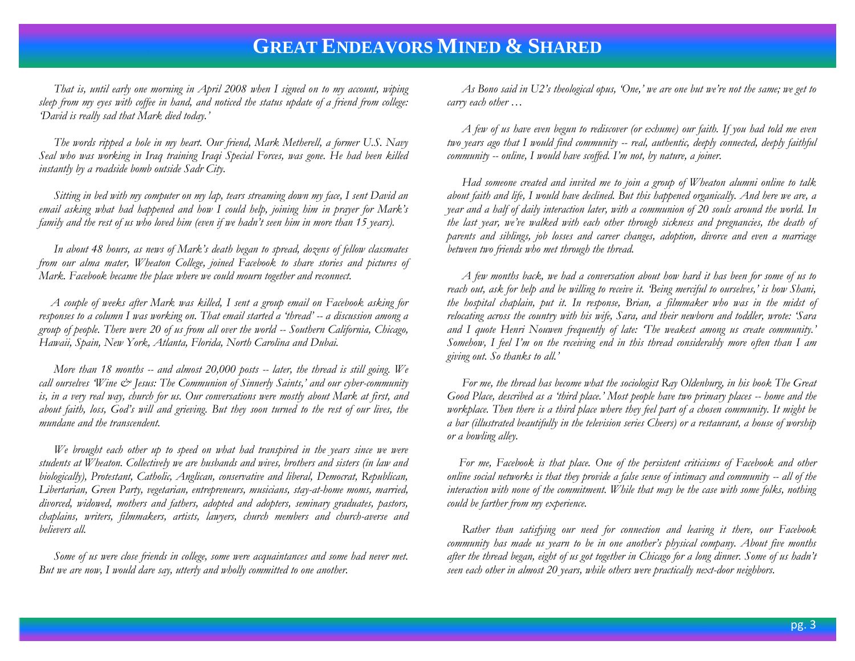*That is, until early one morning in April 2008 when I signed on to my account, wiping sleep from my eyes with coffee in hand, and noticed the status update of a friend from college: 'David is really sad that Mark died today.'*

 *The words ripped a hole in my heart. Our friend, Mark Metherell, a former U.S. Navy Seal who was working in Iraq training Iraqi Special Forces, was gone. He had been killed instantly by a roadside bomb outside Sadr City.*

 *Sitting in bed with my computer on my lap, tears streaming down my face, I sent David an email asking what had happened and how I could help, joining him in prayer for Mark's family and the rest of us who loved him (even if we hadn't seen him in more than 15 years).*

 *In about 48 hours, as news of Mark's death began to spread, dozens of fellow classmates from our alma mater, Wheaton College, joined Facebook to share stories and pictures of Mark. Facebook became the place where we could mourn together and reconnect.*

 *A couple of weeks after Mark was killed, I sent a group email on Facebook asking for responses to a column I was working on. That email started a 'thread' -- a discussion among a group of people. There were 20 of us from all over the world -- Southern California, Chicago, Hawaii, Spain, New York, Atlanta, Florida, North Carolina and Dubai.*

 *More than 18 months -- and almost 20,000 posts -- later, the thread is still going. We call ourselves Wine*  $\dot{\mathcal{O}}$  *Jesus: The Communion of Sinnerly Saints,' and our cyber-community is, in a very real way, church for us. Our conversations were mostly about Mark at first, and about faith, loss, God's will and grieving. But they soon turned to the rest of our lives, the mundane and the transcendent.*

 *We brought each other up to speed on what had transpired in the years since we were students at Wheaton. Collectively we are husbands and wives, brothers and sisters (in law and biologically), Protestant, Catholic, Anglican, conservative and liberal, Democrat, Republican, Libertarian, Green Party, vegetarian, entrepreneurs, musicians, stay-at-home moms, married, divorced, widowed, mothers and fathers, adopted and adopters, seminary graduates, pastors, chaplains, writers, filmmakers, artists, lawyers, church members and church-averse and believers all.* 

 *Some of us were close friends in college, some were acquaintances and some had never met. But we are now, I would dare say, utterly and wholly committed to one another.* 

 *As Bono said in U2's theological opus, 'One,' we are one but we're not the same; we get to carry each other …*

 *A few of us have even begun to rediscover (or exhume) our faith. If you had told me even two years ago that I would find community -- real, authentic, deeply connected, deeply faithful community -- online, I would have scoffed. I'm not, by nature, a joiner.* 

 *Had someone created and invited me to join a group of Wheaton alumni online to talk about faith and life, I would have declined. But this happened organically. And here we are, a year and a half of daily interaction later, with a communion of 20 souls around the world. In the last year, we've walked with each other through sickness and pregnancies, the death of parents and siblings, job losses and career changes, adoption, divorce and even a marriage between two friends who met through the thread.*

 *A few months back, we had a conversation about how hard it has been for some of us to reach out, ask for help and be willing to receive it. 'Being merciful to ourselves,' is how Shani, the hospital chaplain, put it. In response, Brian, a filmmaker who was in the midst of relocating across the country with his wife, Sara, and their newborn and toddler, wrote: 'Sara and I quote Henri Nouwen frequently of late: 'The weakest among us create community.' Somehow, I feel I'm on the receiving end in this thread considerably more often than I am giving out. So thanks to all.'*

 *For me, the thread has become what the sociologist Ray Oldenburg, in his book The Great Good Place, described as a 'third place.' Most people have two primary places -- home and the workplace. Then there is a third place where they feel part of a chosen community. It might be a bar (illustrated beautifully in the television series Cheers) or a restaurant, a house of worship or a bowling alley.*

 *For me, Facebook is that place. One of the persistent criticisms of Facebook and other online social networks is that they provide a false sense of intimacy and community -- all of the interaction with none of the commitment. While that may be the case with some folks, nothing could be farther from my experience.*

 *Rather than satisfying our need for connection and leaving it there, our Facebook community has made us yearn to be in one another's physical company. About five months after the thread began, eight of us got together in Chicago for a long dinner. Some of us hadn't seen each other in almost 20 years, while others were practically next-door neighbors.*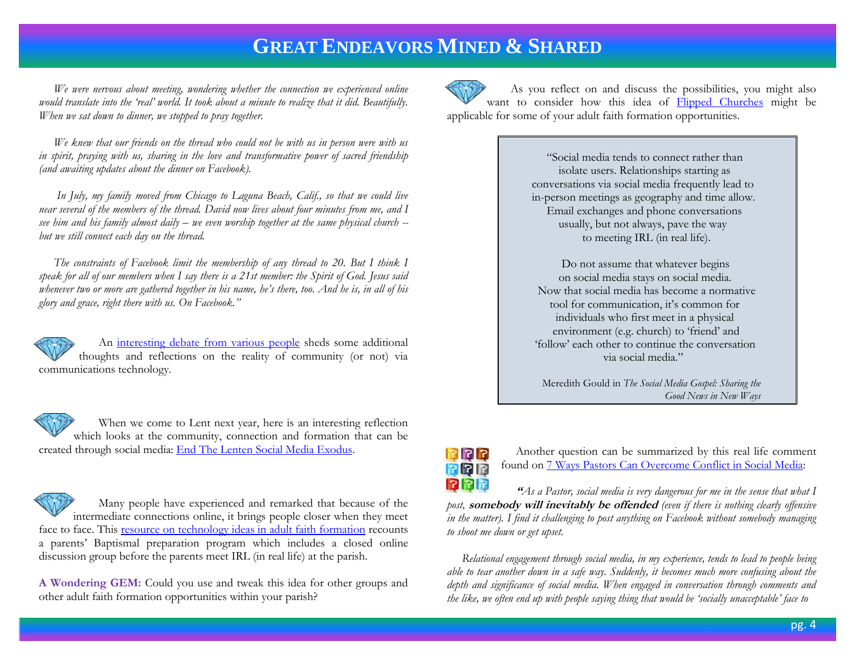*We were nervous about meeting, wondering whether the connection we experienced online would translate into the 'real' world. It took about a minute to realize that it did. Beautifully. When we sat down to dinner, we stopped to pray together.* 

 *We knew that our friends on the thread who could not be with us in person were with us in spirit, praying with us, sharing in the love and transformative power of sacred friendship (and awaiting updates about the dinner on Facebook).*

 *In July, my family moved from Chicago to Laguna Beach, Calif., so that we could live near several of the members of the thread. David now lives about four minutes from me, and I see him and his family almost daily – we even worship together at the same physical church - but we still connect each day on the thread.*

 *The constraints of Facebook limit the membership of any thread to 20. But I think I speak for all of our members when I say there is a 21st member: the Spirit of God. Jesus said whenever two or more are gathered together in his name, he's there, too. And he is, in all of his glory and grace, right there with us. On Facebook."*

 An [interesting debate from various people](http://www.debate.org/opinions/does-the-internet-bring-people-closer-together) sheds some additional thoughts and reflections on the reality of community (or not) via communications technology.

 When we come to Lent next year, here is an interesting reflection which looks at the community, connection and formation that can be created through social media: [End The Lenten Social Media Exodus.](http://adverticem.wordpress.com/2014/03/03/end-the-lenten-social-media-exodus/)

 Many people have experienced and remarked that because of the intermediate connections online, it brings people closer when they meet face to face. This [resource on technology ideas in adult faith formation](http://store.pastoralplanning.com/plteidforadf.html) recounts a parents' Baptismal preparation program which includes a closed online discussion group before the parents meet IRL (in real life) at the parish.

**A Wondering GEM:** Could you use and tweak this idea for other groups and other adult faith formation opportunities within your parish?

 As you reflect on and discuss the possibilities, you might also want to consider how this idea of [Flipped Churches](http://churchm.ag/flipping-churches/) might be applicable for some of your adult faith formation opportunities.

> "Social media tends to connect rather than isolate users. Relationships starting as conversations via social media frequently lead to in-person meetings as geography and time allow. Email exchanges and phone conversations usually, but not always, pave the way to meeting IRL (in real life).

 Do not assume that whatever begins on social media stays on social media. Now that social media has become a normative tool for communication, it's common for individuals who first meet in a physical environment (e.g. church) to 'friend' and 'follow' each other to continue the conversation via social media."

Meredith Gould in *The Social Media Gospel: Sharing the Good News in New Ways*



 Another question can be summarized by this real life comment found on [7 Ways Pastors Can Overcome Conflict in Social Media:](http://blog.ourchurch.com/2012/08/09/7-ways-pastors-can-overcome-conflict-in-social-media/)

 **"***As a Pastor, social media is very dangerous for me in the sense that what I post,* **somebody will inevitably be offended** *(even if there is nothing clearly offensive in the matter). I find it challenging to post anything on Facebook without somebody managing to shoot me down or get upset.* 

 *Relational engagement through social media, in my experience, tends to lead to people being able to tear another down in a safe way. Suddenly, it becomes much more confusing about the depth and significance of social media. When engaged in conversation through comments and the like, we often end up with people saying thing that would be 'socially unacceptable' face to*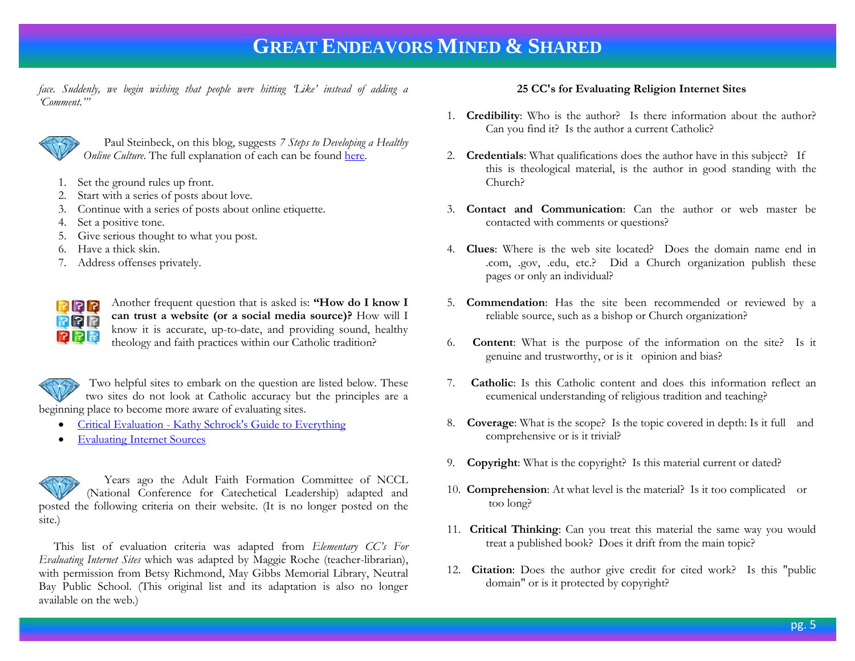*face. Suddenly, we begin wishing that people were hitting 'Like' instead of adding a 'Comment.'"*



 Paul Steinbeck, on this blog, suggests *7 Steps to Developing a Healthy Online Culture*. The full explanation of each can be found [here.](http://blog.ourchurch.com/2012/08/09/7-ways-pastors-can-overcome-conflict-in-social-media/)

- 1. Set the ground rules up front.
- 2. Start with a series of posts about love.
- 3. Continue with a series of posts about online etiquette.
- 4. Set a positive tone.
- 5. Give serious thought to what you post.
- 6. Have a thick skin.
- 7. Address offenses privately.



Another frequent question that is asked is: **"How do I know I can trust a website (or a social media source)?** How will I know it is accurate, up-to-date, and providing sound, healthy theology and faith practices within our Catholic tradition?

Two helpful sites to embark on the question are listed below. These two sites do not look at Catholic accuracy but the principles are a beginning place to become more aware of evaluating sites.

- Critical Evaluation [Kathy Schrock's Guide to Everything](http://www.schrockguide.net/critical-evaluation.html)
- [Evaluating Internet Sources](http://libguides.bc.edu/content.php?pid=1049&sid=3873)

 Years ago the Adult Faith Formation Committee of NCCL (National Conference for Catechetical Leadership) adapted and posted the following criteria on their website. (It is no longer posted on the site.)

 This list of evaluation criteria was adapted from *Elementary CC's For Evaluating Internet Sites* which was adapted by Maggie Roche (teacher-librarian), with permission from Betsy Richmond, May Gibbs Memorial Library, Neutral Bay Public School. (This original list and its adaptation is also no longer available on the web.)

#### **25 CC's for Evaluating Religion Internet Sites**

- 1. **Credibility**: Who is the author? Is there information about the author? Can you find it? Is the author a current Catholic?
- 2. **Credentials**: What qualifications does the author have in this subject? If this is theological material, is the author in good standing with the Church?
- 3. **Contact and Communication**: Can the author or web master be contacted with comments or questions?
- 4. **Clues**: Where is the web site located? Does the domain name end in .com, .gov, .edu, etc.? Did a Church organization publish these pages or only an individual?
- 5. **Commendation**: Has the site been recommended or reviewed by a reliable source, such as a bishop or Church organization?
- 6. **Content**: What is the purpose of the information on the site? Is it genuine and trustworthy, or is it opinion and bias?
- 7. **Catholic**: Is this Catholic content and does this information reflect an ecumenical understanding of religious tradition and teaching?
- 8. **Coverage**: What is the scope? Is the topic covered in depth: Is it full and comprehensive or is it trivial?
- 9. **Copyright**: What is the copyright? Is this material current or dated?
- 10. **Comprehension**: At what level is the material? Is it too complicated or too long?
- 11. **Critical Thinking**: Can you treat this material the same way you would treat a published book? Does it drift from the main topic?
- 12. **Citation**: Does the author give credit for cited work? Is this "public domain" or is it protected by copyright?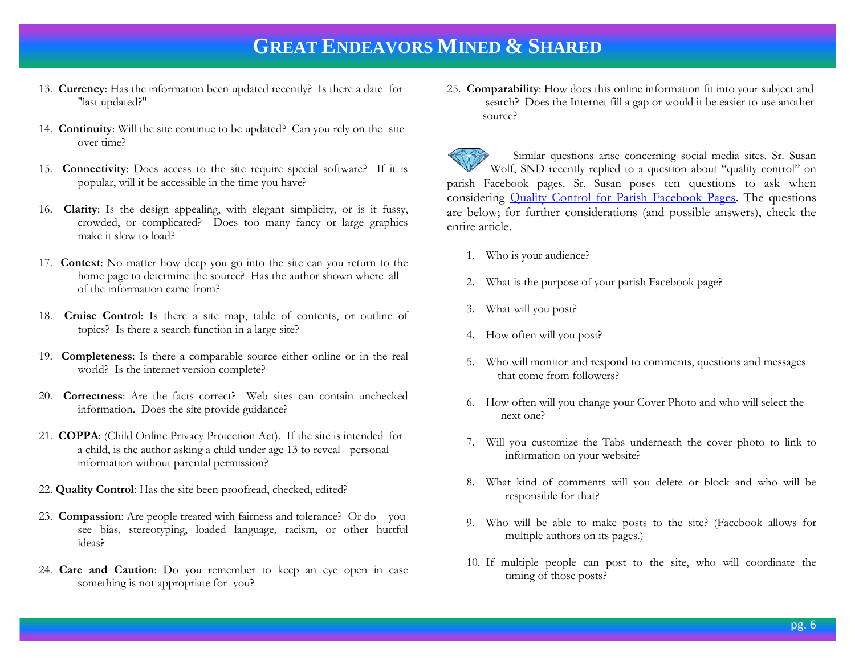- 13. **Currency**: Has the information been updated recently? Is there a date for "last updated?"
- 14. **Continuity**: Will the site continue to be updated? Can you rely on the site over time?
- 15. **Connectivity**: Does access to the site require special software? If it is popular, will it be accessible in the time you have?
- 16. **Clarity**: Is the design appealing, with elegant simplicity, or is it fussy, crowded, or complicated? Does too many fancy or large graphics make it slow to load?
- 17. **Context**: No matter how deep you go into the site can you return to the home page to determine the source? Has the author shown where all of the information came from?
- 18. **Cruise Control**: Is there a site map, table of contents, or outline of topics? Is there a search function in a large site?
- 19. **Completeness**: Is there a comparable source either online or in the real world? Is the internet version complete?
- 20. **Correctness**: Are the facts correct? Web sites can contain unchecked information. Does the site provide guidance?
- 21. **COPPA**: (Child Online Privacy Protection Act). If the site is intended for a child, is the author asking a child under age 13 to reveal personal information without parental permission?
- 22. **Quality Control**: Has the site been proofread, checked, edited?
- 23. **Compassion**: Are people treated with fairness and tolerance? Or do you see bias, stereotyping, loaded language, racism, or other hurtful ideas?
- 24. **Care and Caution**: Do you remember to keep an eye open in case something is not appropriate for you?

25. **Comparability**: How does this online information fit into your subject and search? Does the Internet fill a gap or would it be easier to use another source?

 Similar questions arise concerning social media sites. Sr. Susan Wolf, SND recently replied to a question about "quality control" on parish Facebook pages. Sr. Susan poses ten questions to ask when considering [Quality Control for Parish Facebook Pages.](http://www.catholicwebsolutions.com/2013/10/15/ten-quality-control-questions-for-parish-facebook-pages/) The questions are below; for further considerations (and possible answers), check the entire article.

- 1. Who is your audience?
- 2. What is the purpose of your parish Facebook page?
- 3. What will you post?
- 4. How often will you post?
- 5. Who will monitor and respond to comments, questions and messages that come from followers?
- 6. How often will you change your Cover Photo and who will select the next one?
- 7. Will you customize the Tabs underneath the cover photo to link to information on your website?
- 8. What kind of comments will you delete or block and who will be responsible for that?
- 9. Who will be able to make posts to the site? (Facebook allows for multiple authors on its pages.)
- 10. If multiple people can post to the site, who will coordinate the timing of those posts?